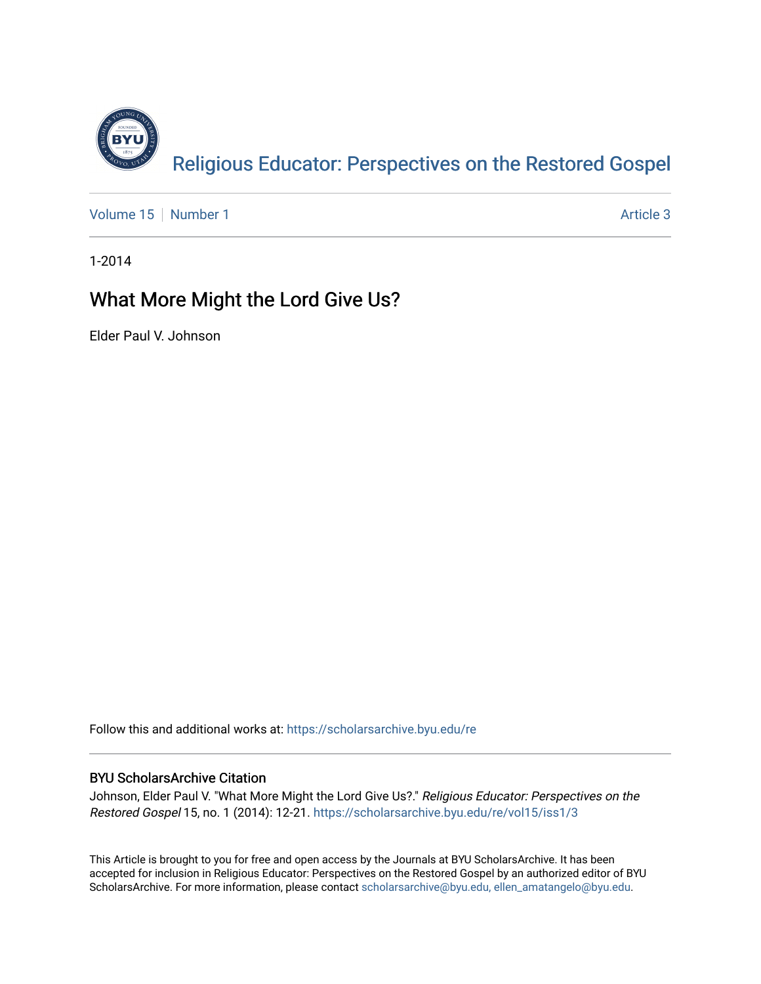

[Volume 15](https://scholarsarchive.byu.edu/re/vol15) [Number 1](https://scholarsarchive.byu.edu/re/vol15/iss1) Article 3

1-2014

## What More Might the Lord Give Us?

Elder Paul V. Johnson

Follow this and additional works at: [https://scholarsarchive.byu.edu/re](https://scholarsarchive.byu.edu/re?utm_source=scholarsarchive.byu.edu%2Fre%2Fvol15%2Fiss1%2F3&utm_medium=PDF&utm_campaign=PDFCoverPages)

## BYU ScholarsArchive Citation

Johnson, Elder Paul V. "What More Might the Lord Give Us?." Religious Educator: Perspectives on the Restored Gospel 15, no. 1 (2014): 12-21. [https://scholarsarchive.byu.edu/re/vol15/iss1/3](https://scholarsarchive.byu.edu/re/vol15/iss1/3?utm_source=scholarsarchive.byu.edu%2Fre%2Fvol15%2Fiss1%2F3&utm_medium=PDF&utm_campaign=PDFCoverPages)

This Article is brought to you for free and open access by the Journals at BYU ScholarsArchive. It has been accepted for inclusion in Religious Educator: Perspectives on the Restored Gospel by an authorized editor of BYU ScholarsArchive. For more information, please contact [scholarsarchive@byu.edu, ellen\\_amatangelo@byu.edu.](mailto:scholarsarchive@byu.edu,%20ellen_amatangelo@byu.edu)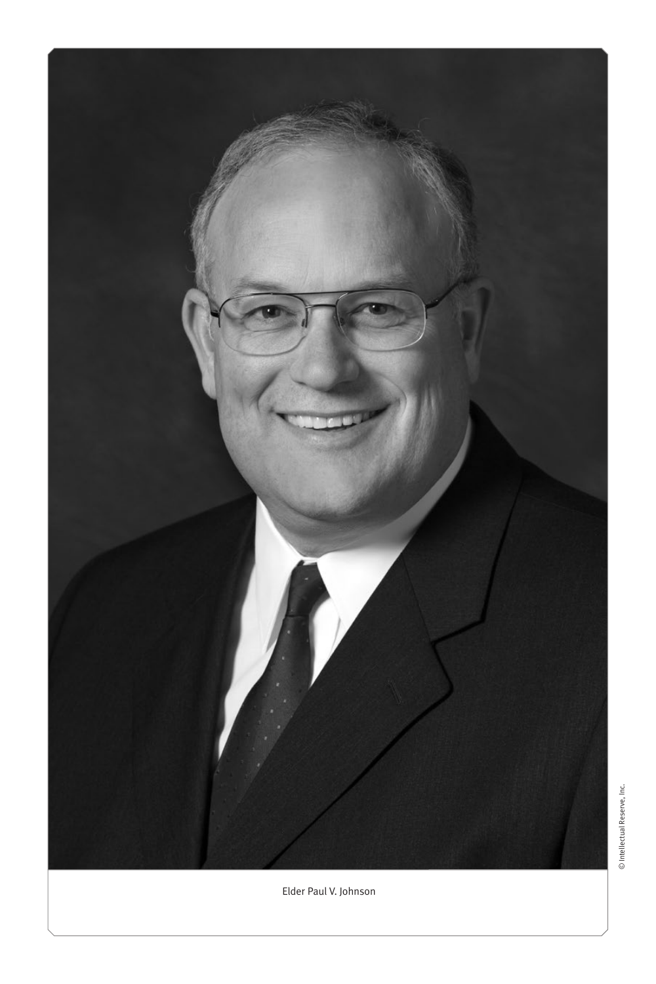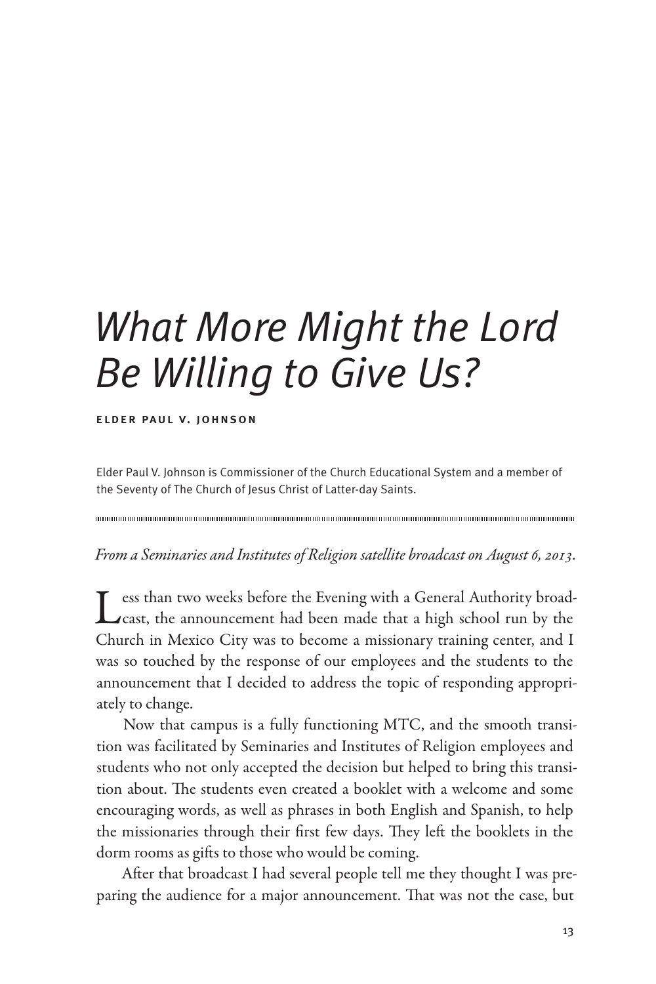## *What More Might the Lord Be Willing to Give Us?*

## elder paul v. johnson

Elder Paul V. Johnson is Commissioner of the Church Educational System and a member of the Seventy of The Church of Jesus Christ of Latter-day Saints.

*From a Seminaries and Institutes of Religion satellite broadcast on August 6, 2013.*

Less than two weeks before the Evening with a General Authority broad-<br>Cast, the announcement had been made that a high school run by the Church in Mexico City was to become a missionary training center, and I was so touched by the response of our employees and the students to the announcement that I decided to address the topic of responding appropriately to change.

Now that campus is a fully functioning MTC, and the smooth transition was facilitated by Seminaries and Institutes of Religion employees and students who not only accepted the decision but helped to bring this transition about. The students even created a booklet with a welcome and some encouraging words, as well as phrases in both English and Spanish, to help the missionaries through their first few days. They left the booklets in the dorm rooms as gifts to those who would be coming.

After that broadcast I had several people tell me they thought I was preparing the audience for a major announcement. That was not the case, but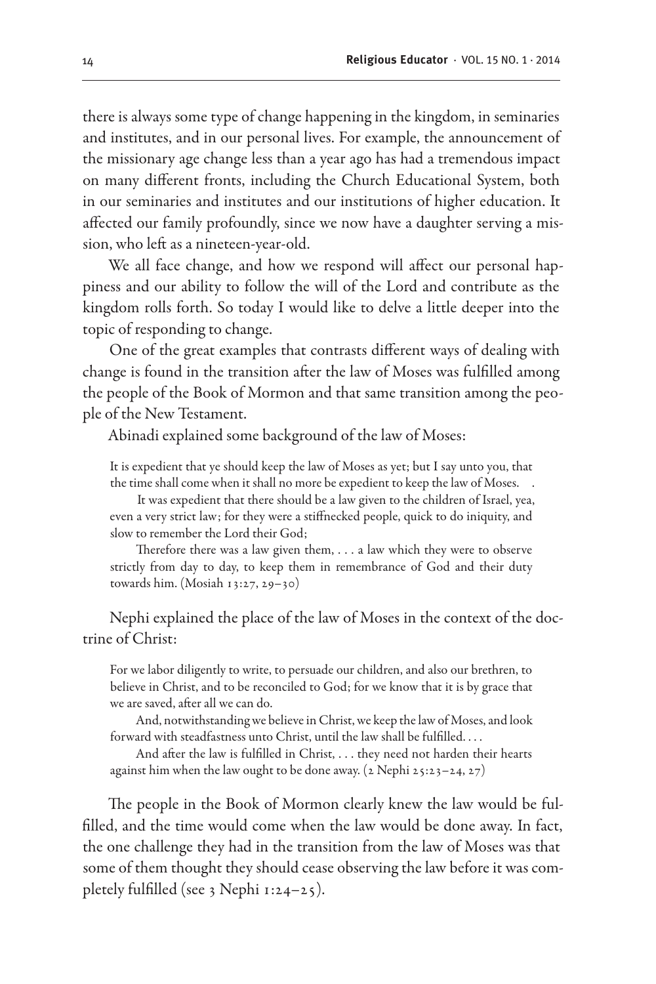there is always some type of change happening in the kingdom, in seminaries and institutes, and in our personal lives. For example, the announcement of the missionary age change less than a year ago has had a tremendous impact on many different fronts, including the Church Educational System, both in our seminaries and institutes and our institutions of higher education. It affected our family profoundly, since we now have a daughter serving a mission, who left as a nineteen-year-old.

We all face change, and how we respond will affect our personal happiness and our ability to follow the will of the Lord and contribute as the kingdom rolls forth. So today I would like to delve a little deeper into the topic of responding to change.

One of the great examples that contrasts different ways of dealing with change is found in the transition after the law of Moses was fulfilled among the people of the Book of Mormon and that same transition among the people of the New Testament.

Abinadi explained some background of the law of Moses:

It is expedient that ye should keep the law of Moses as yet; but I say unto you, that the time shall come when it shall no more be expedient to keep the law of Moses. .

It was expedient that there should be a law given to the children of Israel, yea, even a very strict law; for they were a stiffnecked people, quick to do iniquity, and slow to remember the Lord their God;

Therefore there was a law given them, . . . a law which they were to observe strictly from day to day, to keep them in remembrance of God and their duty towards him. (Mosiah 13:27, 29–30)

Nephi explained the place of the law of Moses in the context of the doctrine of Christ:

For we labor diligently to write, to persuade our children, and also our brethren, to believe in Christ, and to be reconciled to God; for we know that it is by grace that we are saved, after all we can do.

And, notwithstanding we believe in Christ, we keep the law of Moses, and look forward with steadfastness unto Christ, until the law shall be fulfilled. . . .

And after the law is fulfilled in Christ, . . . they need not harden their hearts against him when the law ought to be done away. ( $2$  Nephi  $25:23-24$ ,  $27$ )

The people in the Book of Mormon clearly knew the law would be fulfilled, and the time would come when the law would be done away. In fact, the one challenge they had in the transition from the law of Moses was that some of them thought they should cease observing the law before it was completely fulfilled (see 3 Nephi  $1:24-25$ ).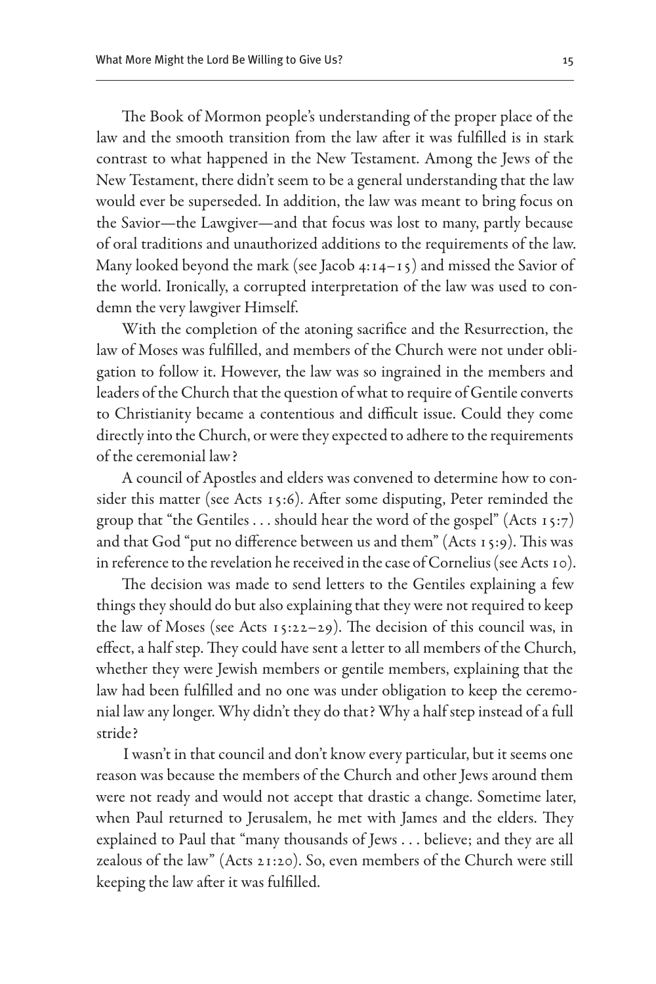The Book of Mormon people's understanding of the proper place of the law and the smooth transition from the law after it was fulfilled is in stark contrast to what happened in the New Testament. Among the Jews of the New Testament, there didn't seem to be a general understanding that the law would ever be superseded. In addition, the law was meant to bring focus on the Savior—the Lawgiver—and that focus was lost to many, partly because of oral traditions and unauthorized additions to the requirements of the law. Many looked beyond the mark (see Jacob  $4:14-15$ ) and missed the Savior of the world. Ironically, a corrupted interpretation of the law was used to condemn the very lawgiver Himself.

With the completion of the atoning sacrifice and the Resurrection, the law of Moses was fulfilled, and members of the Church were not under obligation to follow it. However, the law was so ingrained in the members and leaders of the Church that the question of what to require of Gentile converts to Christianity became a contentious and difficult issue. Could they come directly into the Church, or were they expected to adhere to the requirements of the ceremonial law?

A council of Apostles and elders was convened to determine how to consider this matter (see Acts 15:6). After some disputing, Peter reminded the group that "the Gentiles . . . should hear the word of the gospel" (Acts 15:7) and that God "put no difference between us and them" (Acts 15:9). This was in reference to the revelation he received in the case of Cornelius (see Acts 10).

The decision was made to send letters to the Gentiles explaining a few things they should do but also explaining that they were not required to keep the law of Moses (see Acts 15:22–29). The decision of this council was, in effect, a half step. They could have sent a letter to all members of the Church, whether they were Jewish members or gentile members, explaining that the law had been fulfilled and no one was under obligation to keep the ceremonial law any longer. Why didn't they do that? Why a half step instead of a full stride?

I wasn't in that council and don't know every particular, but it seems one reason was because the members of the Church and other Jews around them were not ready and would not accept that drastic a change. Sometime later, when Paul returned to Jerusalem, he met with James and the elders. They explained to Paul that "many thousands of Jews . . . believe; and they are all zealous of the law" (Acts 21:20). So, even members of the Church were still keeping the law after it was fulfilled.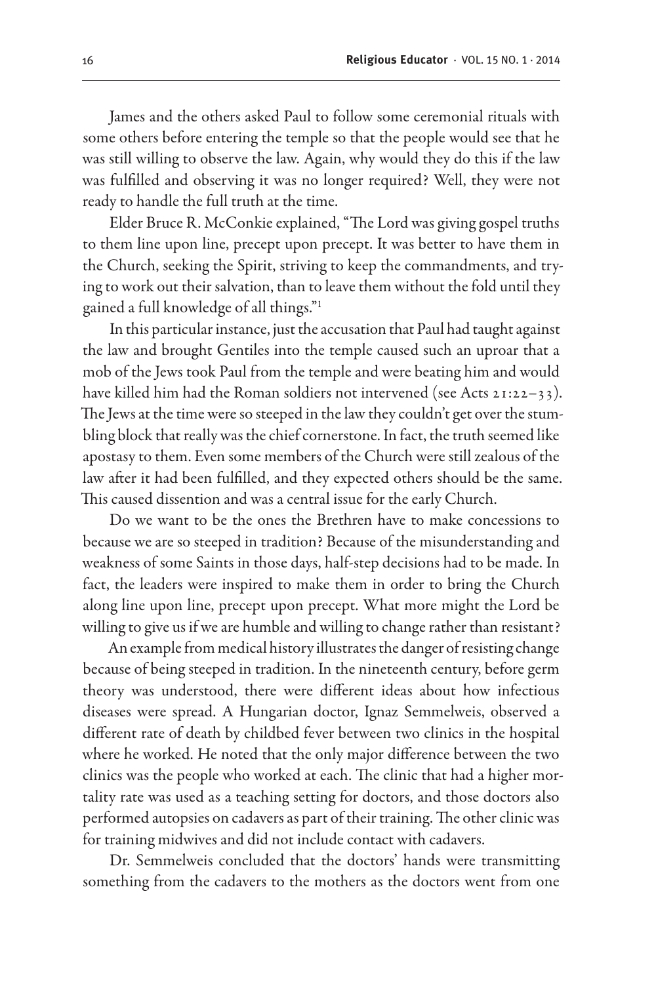James and the others asked Paul to follow some ceremonial rituals with some others before entering the temple so that the people would see that he was still willing to observe the law. Again, why would they do this if the law was fulfilled and observing it was no longer required? Well, they were not ready to handle the full truth at the time.

Elder Bruce R. McConkie explained, "The Lord was giving gospel truths to them line upon line, precept upon precept. It was better to have them in the Church, seeking the Spirit, striving to keep the commandments, and trying to work out their salvation, than to leave them without the fold until they gained a full knowledge of all things."1

In this particular instance, just the accusation that Paul had taught against the law and brought Gentiles into the temple caused such an uproar that a mob of the Jews took Paul from the temple and were beating him and would have killed him had the Roman soldiers not intervened (see Acts 21:22–33). The Jews at the time were so steeped in the law they couldn't get over the stumbling block that really was the chief cornerstone. In fact, the truth seemed like apostasy to them. Even some members of the Church were still zealous of the law after it had been fulfilled, and they expected others should be the same. This caused dissention and was a central issue for the early Church.

Do we want to be the ones the Brethren have to make concessions to because we are so steeped in tradition? Because of the misunderstanding and weakness of some Saints in those days, half-step decisions had to be made. In fact, the leaders were inspired to make them in order to bring the Church along line upon line, precept upon precept. What more might the Lord be willing to give us if we are humble and willing to change rather than resistant?

An example from medical history illustrates the danger of resisting change because of being steeped in tradition. In the nineteenth century, before germ theory was understood, there were different ideas about how infectious diseases were spread. A Hungarian doctor, Ignaz Semmelweis, observed a different rate of death by childbed fever between two clinics in the hospital where he worked. He noted that the only major difference between the two clinics was the people who worked at each. The clinic that had a higher mortality rate was used as a teaching setting for doctors, and those doctors also performed autopsies on cadavers as part of their training. The other clinic was for training midwives and did not include contact with cadavers.

Dr. Semmelweis concluded that the doctors' hands were transmitting something from the cadavers to the mothers as the doctors went from one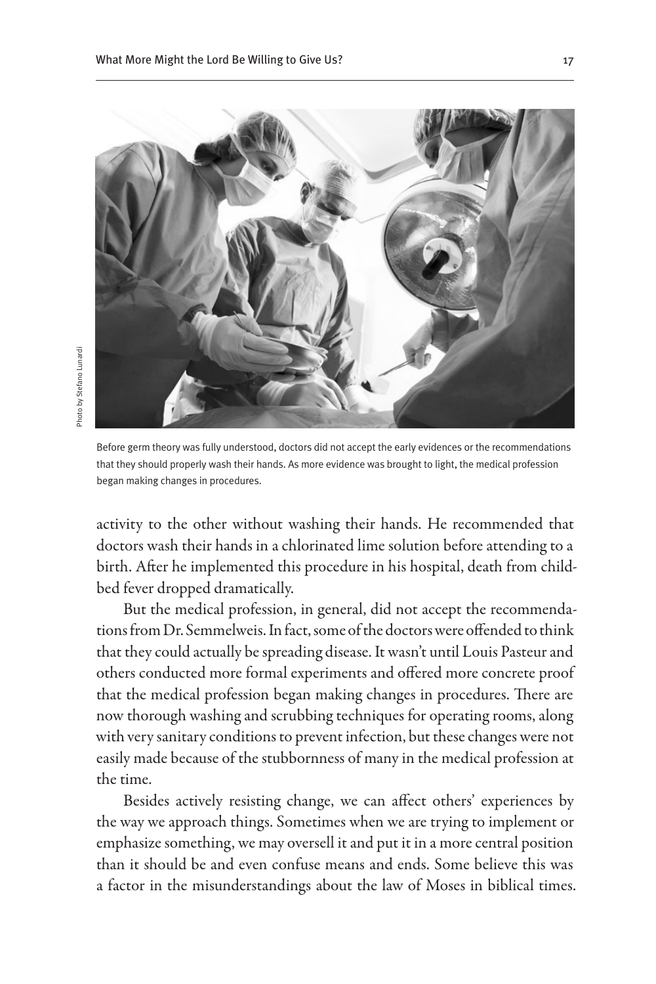

Before germ theory was fully understood, doctors did not accept the early evidences or the recommendations that they should properly wash their hands. As more evidence was brought to light, the medical profession began making changes in procedures.

activity to the other without washing their hands. He recommended that doctors wash their hands in a chlorinated lime solution before attending to a birth. After he implemented this procedure in his hospital, death from childbed fever dropped dramatically.

But the medical profession, in general, did not accept the recommendations from Dr. Semmelweis. In fact, some of the doctors were offended to think that they could actually be spreading disease. It wasn't until Louis Pasteur and others conducted more formal experiments and offered more concrete proof that the medical profession began making changes in procedures. There are now thorough washing and scrubbing techniques for operating rooms, along with very sanitary conditions to prevent infection, but these changes were not easily made because of the stubbornness of many in the medical profession at the time.

Besides actively resisting change, we can affect others' experiences by the way we approach things. Sometimes when we are trying to implement or emphasize something, we may oversell it and put it in a more central position than it should be and even confuse means and ends. Some believe this was a factor in the misunderstandings about the law of Moses in biblical times.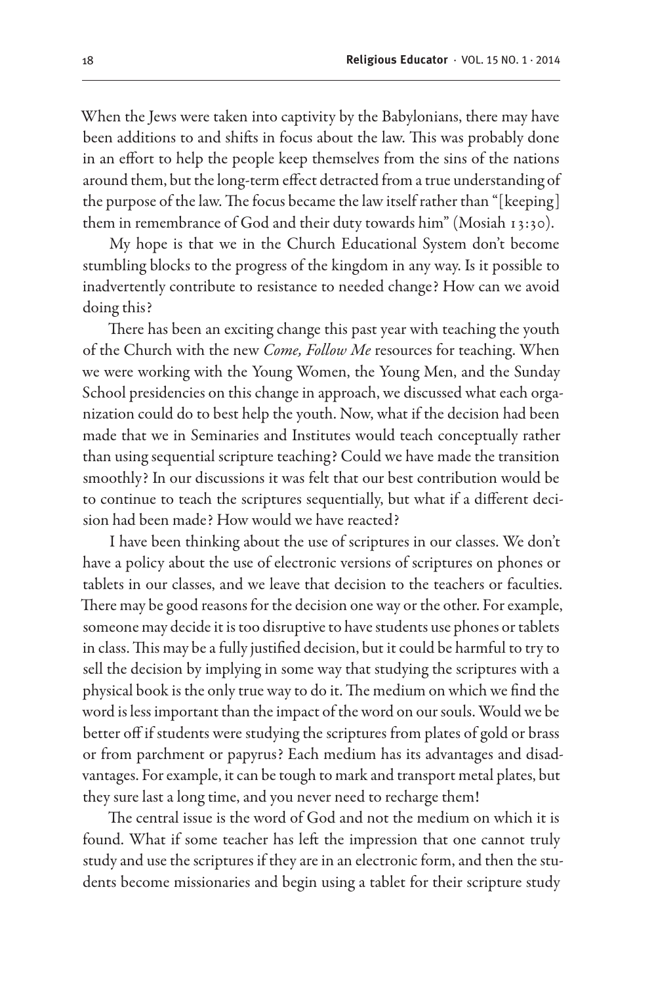When the Jews were taken into captivity by the Babylonians, there may have been additions to and shifts in focus about the law. This was probably done in an effort to help the people keep themselves from the sins of the nations around them, but the long-term effect detracted from a true understanding of the purpose of the law. The focus became the law itself rather than "[keeping] them in remembrance of God and their duty towards him" (Mosiah 13:30).

My hope is that we in the Church Educational System don't become stumbling blocks to the progress of the kingdom in any way. Is it possible to inadvertently contribute to resistance to needed change? How can we avoid doing this?

There has been an exciting change this past year with teaching the youth of the Church with the new *Come, Follow Me* resources for teaching. When we were working with the Young Women, the Young Men, and the Sunday School presidencies on this change in approach, we discussed what each organization could do to best help the youth. Now, what if the decision had been made that we in Seminaries and Institutes would teach conceptually rather than using sequential scripture teaching? Could we have made the transition smoothly? In our discussions it was felt that our best contribution would be to continue to teach the scriptures sequentially, but what if a different decision had been made? How would we have reacted?

I have been thinking about the use of scriptures in our classes. We don't have a policy about the use of electronic versions of scriptures on phones or tablets in our classes, and we leave that decision to the teachers or faculties. There may be good reasons for the decision one way or the other. For example, someone may decide it is too disruptive to have students use phones or tablets in class. This may be a fully justified decision, but it could be harmful to try to sell the decision by implying in some way that studying the scriptures with a physical book is the only true way to do it. The medium on which we find the word is less important than the impact of the word on our souls. Would we be better off if students were studying the scriptures from plates of gold or brass or from parchment or papyrus? Each medium has its advantages and disadvantages. For example, it can be tough to mark and transport metal plates, but they sure last a long time, and you never need to recharge them!

The central issue is the word of God and not the medium on which it is found. What if some teacher has left the impression that one cannot truly study and use the scriptures if they are in an electronic form, and then the students become missionaries and begin using a tablet for their scripture study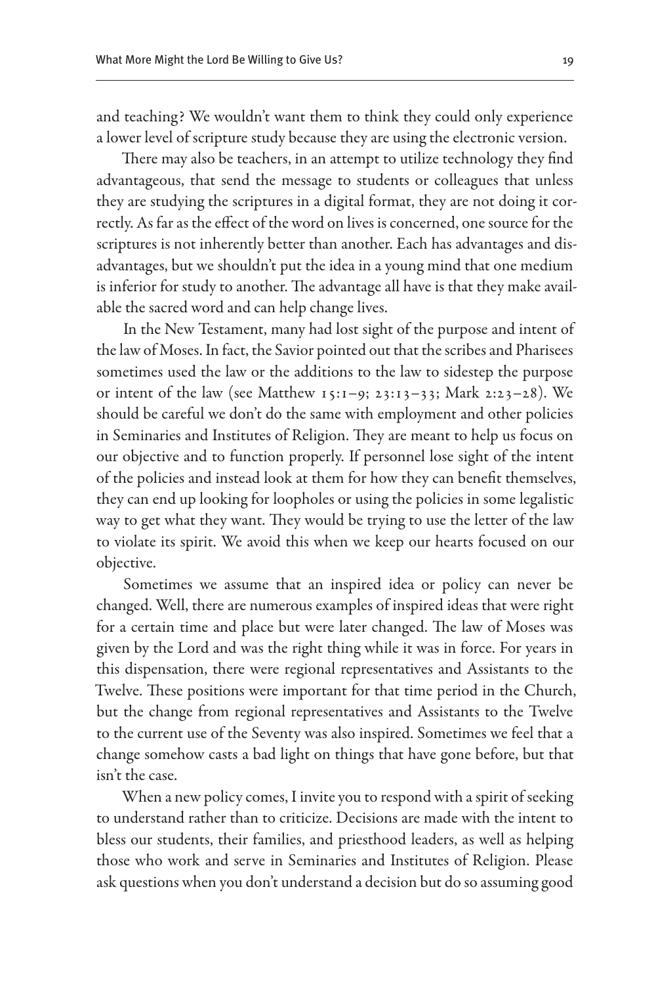and teaching? We wouldn't want them to think they could only experience a lower level of scripture study because they are using the electronic version.

There may also be teachers, in an attempt to utilize technology they find advantageous, that send the message to students or colleagues that unless they are studying the scriptures in a digital format, they are not doing it correctly. As far as the effect of the word on lives is concerned, one source for the scriptures is not inherently better than another. Each has advantages and disadvantages, but we shouldn't put the idea in a young mind that one medium is inferior for study to another. The advantage all have is that they make available the sacred word and can help change lives.

In the New Testament, many had lost sight of the purpose and intent of the law of Moses. In fact, the Savior pointed out that the scribes and Pharisees sometimes used the law or the additions to the law to sidestep the purpose or intent of the law (see Matthew 15:1–9; 23:13–33; Mark 2:23–28). We should be careful we don't do the same with employment and other policies in Seminaries and Institutes of Religion. They are meant to help us focus on our objective and to function properly. If personnel lose sight of the intent of the policies and instead look at them for how they can benefit themselves, they can end up looking for loopholes or using the policies in some legalistic way to get what they want. They would be trying to use the letter of the law to violate its spirit. We avoid this when we keep our hearts focused on our objective.

Sometimes we assume that an inspired idea or policy can never be changed. Well, there are numerous examples of inspired ideas that were right for a certain time and place but were later changed. The law of Moses was given by the Lord and was the right thing while it was in force. For years in this dispensation, there were regional representatives and Assistants to the Twelve. These positions were important for that time period in the Church, but the change from regional representatives and Assistants to the Twelve to the current use of the Seventy was also inspired. Sometimes we feel that a change somehow casts a bad light on things that have gone before, but that isn't the case.

When a new policy comes, I invite you to respond with a spirit of seeking to understand rather than to criticize. Decisions are made with the intent to bless our students, their families, and priesthood leaders, as well as helping those who work and serve in Seminaries and Institutes of Religion. Please ask questions when you don't understand a decision but do so assuming good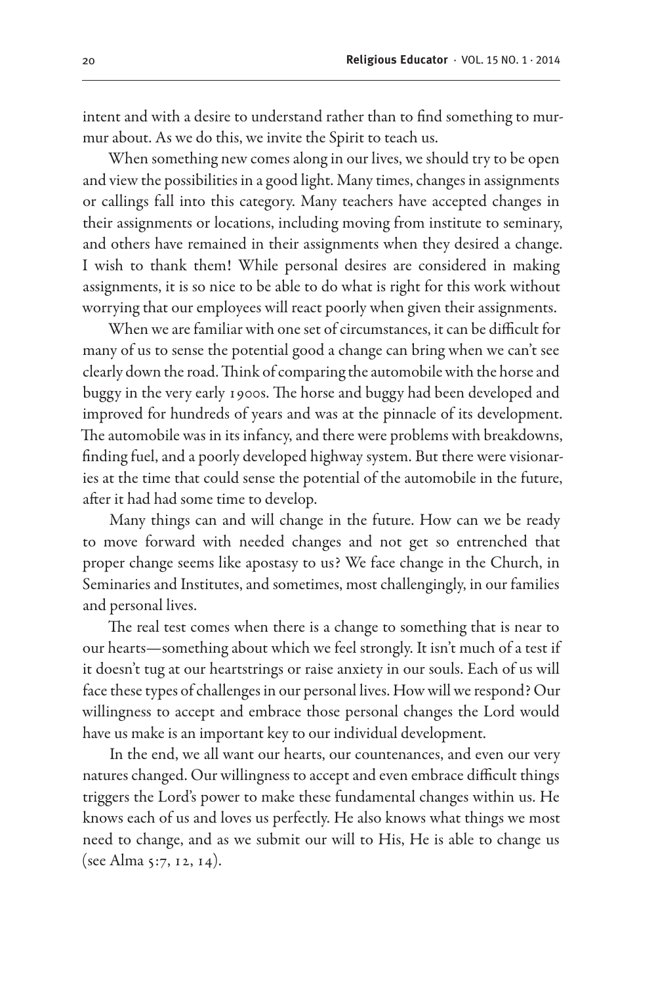intent and with a desire to understand rather than to find something to murmur about. As we do this, we invite the Spirit to teach us.

When something new comes along in our lives, we should try to be open and view the possibilities in a good light. Many times, changes in assignments or callings fall into this category. Many teachers have accepted changes in their assignments or locations, including moving from institute to seminary, and others have remained in their assignments when they desired a change. I wish to thank them! While personal desires are considered in making assignments, it is so nice to be able to do what is right for this work without worrying that our employees will react poorly when given their assignments.

When we are familiar with one set of circumstances, it can be difficult for many of us to sense the potential good a change can bring when we can't see clearly down the road. Think of comparing the automobile with the horse and buggy in the very early 1900s. The horse and buggy had been developed and improved for hundreds of years and was at the pinnacle of its development. The automobile was in its infancy, and there were problems with breakdowns, finding fuel, and a poorly developed highway system. But there were visionaries at the time that could sense the potential of the automobile in the future, after it had had some time to develop.

Many things can and will change in the future. How can we be ready to move forward with needed changes and not get so entrenched that proper change seems like apostasy to us? We face change in the Church, in Seminaries and Institutes, and sometimes, most challengingly, in our families and personal lives.

The real test comes when there is a change to something that is near to our hearts—something about which we feel strongly. It isn't much of a test if it doesn't tug at our heartstrings or raise anxiety in our souls. Each of us will face these types of challenges in our personal lives. How will we respond? Our willingness to accept and embrace those personal changes the Lord would have us make is an important key to our individual development.

In the end, we all want our hearts, our countenances, and even our very natures changed. Our willingness to accept and even embrace difficult things triggers the Lord's power to make these fundamental changes within us. He knows each of us and loves us perfectly. He also knows what things we most need to change, and as we submit our will to His, He is able to change us (see Alma 5:7, 12, 14).